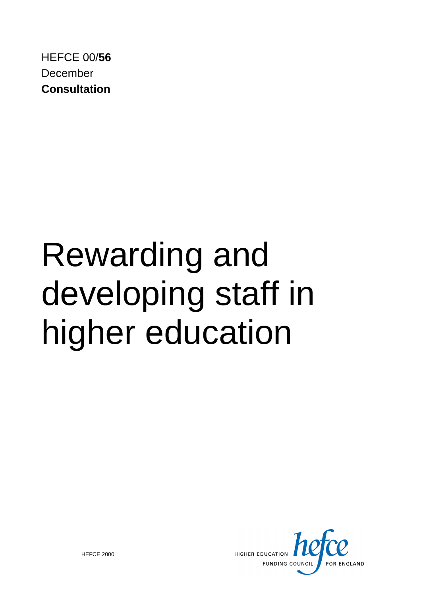HEFCE 00/**56** December **Consultation**

# Rewarding and developing staff in higher education



© HEFCE 2000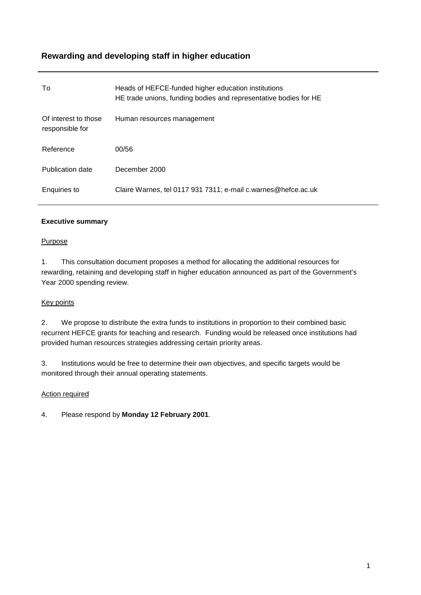# **Rewarding and developing staff in higher education**

| To                                      | Heads of HEFCE-funded higher education institutions<br>HE trade unions, funding bodies and representative bodies for HE |
|-----------------------------------------|-------------------------------------------------------------------------------------------------------------------------|
| Of interest to those<br>responsible for | Human resources management                                                                                              |
| Reference                               | 00/56                                                                                                                   |
| <b>Publication date</b>                 | December 2000                                                                                                           |
| Enguiries to                            | Claire Warnes, tel 0117 931 7311; e-mail c.warnes@hefce.ac.uk                                                           |

# **Executive summary**

# Purpose

1. This consultation document proposes a method for allocating the additional resources for rewarding, retaining and developing staff in higher education announced as part of the Government's Year 2000 spending review.

# Key points

2. We propose to distribute the extra funds to institutions in proportion to their combined basic recurrent HEFCE grants for teaching and research. Funding would be released once institutions had provided human resources strategies addressing certain priority areas.

3. Institutions would be free to determine their own objectives, and specific targets would be monitored through their annual operating statements.

# Action required

4. Please respond by **Monday 12 February 2001**.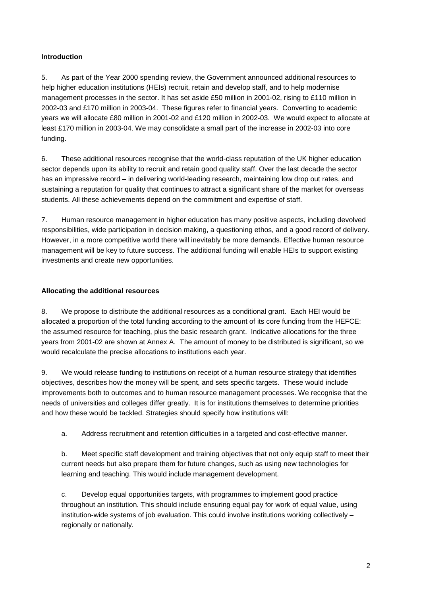# **Introduction**

5. As part of the Year 2000 spending review, the Government announced additional resources to help higher education institutions (HEIs) recruit, retain and develop staff, and to help modernise management processes in the sector. It has set aside £50 million in 2001-02, rising to £110 million in 2002-03 and £170 million in 2003-04. These figures refer to financial years. Converting to academic years we will allocate £80 million in 2001-02 and £120 million in 2002-03. We would expect to allocate at least £170 million in 2003-04. We may consolidate a small part of the increase in 2002-03 into core funding.

6. These additional resources recognise that the world-class reputation of the UK higher education sector depends upon its ability to recruit and retain good quality staff. Over the last decade the sector has an impressive record – in delivering world-leading research, maintaining low drop out rates, and sustaining a reputation for quality that continues to attract a significant share of the market for overseas students. All these achievements depend on the commitment and expertise of staff.

7. Human resource management in higher education has many positive aspects, including devolved responsibilities, wide participation in decision making, a questioning ethos, and a good record of delivery. However, in a more competitive world there will inevitably be more demands. Effective human resource management will be key to future success. The additional funding will enable HEIs to support existing investments and create new opportunities.

# **Allocating the additional resources**

8. We propose to distribute the additional resources as a conditional grant. Each HEI would be allocated a proportion of the total funding according to the amount of its core funding from the HEFCE: the assumed resource for teaching, plus the basic research grant. Indicative allocations for the three years from 2001-02 are shown at Annex A. The amount of money to be distributed is significant, so we would recalculate the precise allocations to institutions each year.

9. We would release funding to institutions on receipt of a human resource strategy that identifies objectives, describes how the money will be spent, and sets specific targets. These would include improvements both to outcomes and to human resource management processes. We recognise that the needs of universities and colleges differ greatly. It is for institutions themselves to determine priorities and how these would be tackled. Strategies should specify how institutions will:

a. Address recruitment and retention difficulties in a targeted and cost-effective manner.

b. Meet specific staff development and training objectives that not only equip staff to meet their current needs but also prepare them for future changes, such as using new technologies for learning and teaching. This would include management development.

c. Develop equal opportunities targets, with programmes to implement good practice throughout an institution. This should include ensuring equal pay for work of equal value, using institution-wide systems of job evaluation. This could involve institutions working collectively – regionally or nationally.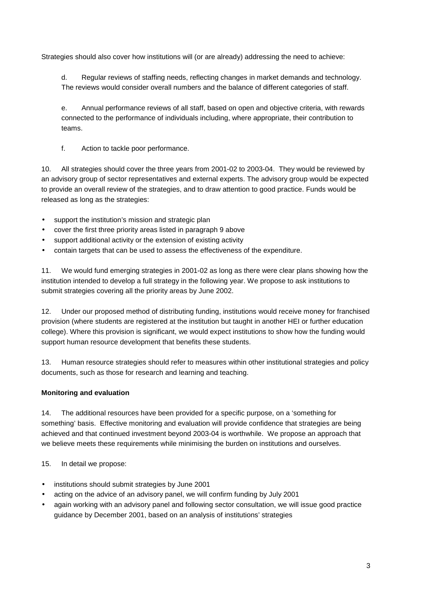Strategies should also cover how institutions will (or are already) addressing the need to achieve:

d. Regular reviews of staffing needs, reflecting changes in market demands and technology. The reviews would consider overall numbers and the balance of different categories of staff.

e. Annual performance reviews of all staff, based on open and objective criteria, with rewards connected to the performance of individuals including, where appropriate, their contribution to teams.

f. Action to tackle poor performance.

10. All strategies should cover the three years from 2001-02 to 2003-04. They would be reviewed by an advisory group of sector representatives and external experts. The advisory group would be expected to provide an overall review of the strategies, and to draw attention to good practice. Funds would be released as long as the strategies:

- support the institution's mission and strategic plan
- cover the first three priority areas listed in paragraph 9 above
- support additional activity or the extension of existing activity
- contain targets that can be used to assess the effectiveness of the expenditure.

11. We would fund emerging strategies in 2001-02 as long as there were clear plans showing how the institution intended to develop a full strategy in the following year. We propose to ask institutions to submit strategies covering all the priority areas by June 2002.

12. Under our proposed method of distributing funding, institutions would receive money for franchised provision (where students are registered at the institution but taught in another HEI or further education college). Where this provision is significant, we would expect institutions to show how the funding would support human resource development that benefits these students.

13. Human resource strategies should refer to measures within other institutional strategies and policy documents, such as those for research and learning and teaching.

# **Monitoring and evaluation**

14. The additional resources have been provided for a specific purpose, on a 'something for something' basis. Effective monitoring and evaluation will provide confidence that strategies are being achieved and that continued investment beyond 2003-04 is worthwhile. We propose an approach that we believe meets these requirements while minimising the burden on institutions and ourselves.

15. In detail we propose:

- institutions should submit strategies by June 2001
- acting on the advice of an advisory panel, we will confirm funding by July 2001
- again working with an advisory panel and following sector consultation, we will issue good practice guidance by December 2001, based on an analysis of institutions' strategies